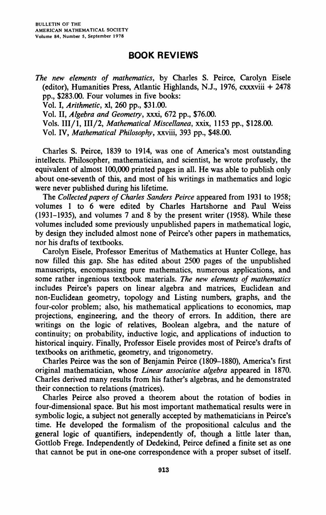## **BOOK REVIEWS**

*The new elements of mathematics,* **by Charles S. Peirce, Carolyn Eisele (editor), Humanities Press, Atlantic Highlands, N.J., 1976, cxxxviii + 2478 pp., \$283.00. Four volumes in five books: Vol. I,** *Arithmetic,* **xl, 260 pp., \$31.00. Vol. II,** *Algebra and Geometry,* **xxxi, 672 pp., \$76.00. Vols. HI/1, III/2,** *Mathematical Miscellanea,* **xxix, 1153 pp., \$128.00. Vol. IV,** *Mathematical Philosophy,* **xxviii, 393 pp., \$48.00.** 

**Charles S. Peirce, 1839 to 1914, was one of America's most outstanding intellects. Philosopher, mathematician, and scientist, he wrote profusely, the equivalent of almost 100,000 printed pages in all. He was able to publish only about one-seventh of this, and most of his writings in mathematics and logic were never published during his lifetime.** 

**The** *Collected papers of Charles Sanders Peirce* **appeared from 1931 to 1958; volumes 1 to 6 were edited by Charles Hartshorne and Paul Weiss (1931-1935), and volumes 7 and 8 by the present writer (1958). While these volumes included some previously unpublished papers in mathematical logic, by design they included almost none of Peirce's other papers in mathematics, nor his drafts of textbooks.** 

**Carolyn Eisele, Professor Emeritus of Mathematics at Hunter College, has now filled this gap. She has edited about 2500 pages of the unpublished manuscripts, encompassing pure mathematics, numerous applications, and some rather ingenious textbook materials.** *The new elements of mathematics*  **includes Peirce's papers on linear algebra and matrices, Euclidean and non-Euclidean geometry, topology and Listing numbers, graphs, and the four-color problem; also, his mathematical applications to economics, map projections, engineering, and the theory of errors. In addition, there are writings on the logic of relatives, Boolean algebra, and the nature of continuity; on probability, inductive logic, and applications of induction to historical inquiry. Finally, Professor Eisele provides most of Peirce's drafts of textbooks on arithmetic, geometry, and trigonometry.** 

**Charles Peirce was the son of Benjamin Peirce (1809-1880), America's first original mathematician, whose** *Linear associative algebra* **appeared in 1870. Charles derived many results from his father's algebras, and he demonstrated their connection to relations (matrices).** 

**Charles Peirce also proved a theorem about the rotation of bodies in four-dimensional space. But his most important mathematical results were in symbolic logic, a subject not generally accepted by mathematicians in Peirce's time. He developed the formalism of the propositional calculus and the general logic of quantifiers, independently of, though a little later than, Gottlob Frege. Independently of Dedekind, Peirce defined a finite set as one that cannot be put in one-one correspondence with a proper subset of itself.**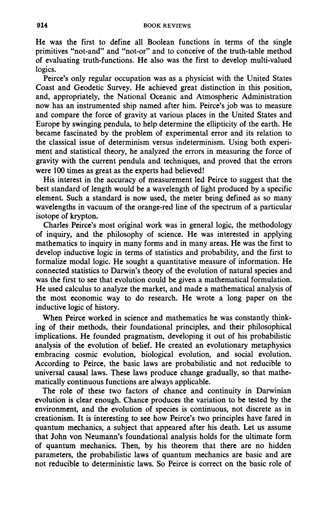**He was the first to define all Boolean functions in terms of the single primitives "not-and" and "not-or" and to conceive of the truth-table method of evaluating truth-functions. He also was the first to develop multi-valued logics.** 

**Peirce's only regular occupation was as a physicist with the United States Coast and Geodetic Survey. He achieved great distinction in this position, and, appropriately, the National Oceanic and Atmospheric Administration now has an instrumented ship named after him. Peirce's job was to measure and compare the force of gravity at various places in the United States and Europe by swinging pendula, to help determine the ellipticity of the earth. He became fascinated by the problem of experimental error and its relation to the classical issue of determinism versus indeterminism. Using both experiment and statistical theory, he analyzed the errors in measuring the force of gravity with the current pendula and techniques, and proved that the errors were 100 times as great as the experts had believed!** 

**His interest in the accuracy of measurement led Peirce to suggest that the best standard of length would be a wavelength of light produced by a specific element. Such a standard is now used, the meter being defined as so many wavelengths in vacuum of the orange-red line of the spectrum of a particular isotope of krypton.** 

**Charles Peirce's most original work was in general logic, the methodology of inquiry, and the philosophy of science. He was interested in applying mathematics to inquiry in many forms and in many areas. He was the first to develop inductive logic in terms of statistics and probability, and the first to formalize modal logic. He sought a quantitative measure of information. He connected statistics to Darwin's theory of the evolution of natural species and was the first to see that evolution could be given a mathematical formulation. He used calculus to analyze the market, and made a mathematical analysis of the most economic way to do research. He wrote a long paper on the inductive logic of history.** 

**When Peirce worked in science and mathematics he was constantly thinking of their methods, their foundational principles, and their philosophical implications. He founded pragmatism, developing it out of his probabilistic analysis of the evolution of belief. He created an evolutionary metaphysics embracing cosmic evolution, biological evolution, and social evolution. According to Peirce, the basic laws are probabilistic and not reducible to universal causal laws. These laws produce change gradually, so that mathematically continuous functions are always applicable.** 

**The role of these two factors of chance and continuity in Darwinian evolution is clear enough. Chance produces the variation to be tested by the environment, and the evolution of species is continuous, not discrete as in creationism. It is interesting to see how Peirce's two principles have fared in quantum mechanics, a subject that appeared after his death. Let us assume that John von Neumann's foundational analysis holds for the ultimate form of quantum mechanics. Then, by his theorem that there are no hidden parameters, the probabilistic laws of quantum mechanics are basic and are not reducible to deterministic laws. So Peirce is correct on the basic role of**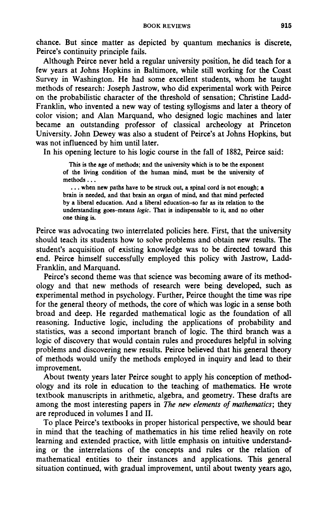**chance. But since matter as depicted by quantum mechanics is discrete, Peirce's continuity principle fails.** 

**Although Peirce never held a regular university position, he did teach for a few years at Johns Hopkins in Baltimore, while still working for the Coast Survey in Washington. He had some excellent students, whom he taught methods of research: Joseph Jastrow, who did experimental work with Peirce on the probabilistic character of the threshold of sensation; Christine Ladd-Franklin, who invented a new way of testing syllogisms and later a theory of color vision; and Alan Marquand, who designed logic machines and later became an outstanding professor of classical archeology at Princeton University. John Dewey was also a student of Peirce's at Johns Hopkins, but was not influenced by him until later.** 

**In his opening lecture to his logic course in the fall of 1882, Peirce said:** 

**This is the age of methods; and the university which is to be the exponent of the living condition of the human mind, must be the university of methods...** 

**. . . when new paths have to be struck out, a spinal cord is not enough; a brain is needed, and that brain an organ of mind, and that mind perfected by a liberal education. And a liberal education-so far as its relation to the understanding goes-means** *logic.* **That is indispensable to it, and no other one thing is.** 

**Peirce was advocating two interrelated policies here. First, that the university should teach its students how to solve problems and obtain new results. The student's acquisition of existing knowledge was to be directed toward this end. Peirce himself successfully employed this policy with Jastrow, Ladd-Franklin, and Marquand.** 

**Peirce's second theme was that science was becoming aware of its methodology and that new methods of research were being developed, such as experimental method in psychology. Further, Peirce thought the time was ripe for the general theory of methods, the core of which was logic in a sense both broad and deep. He regarded mathematical logic as the foundation of all reasoning. Inductive logic, including the applications of probability and statistics, was a second important branch of logic. The third branch was a logic of discovery that would contain rules and procedures helpful in solving problems and discovering new results. Peirce believed that his general theory of methods would unify the methods employed in inquiry and lead to their improvement.** 

**About twenty years later Peirce sought to apply his conception of methodology and its role in education to the teaching of mathematics. He wrote textbook manuscripts in arithmetic, algebra, and geometry. These drafts are among the most interesting papers in** *The new elements of mathematics;* **they are reproduced in volumes I and II.** 

**To place Peirce's textbooks in proper historical perspective, we should bear in mind that the teaching of mathematics in his time relied heavily on rote learning and extended practice, with little emphasis on intuitive understanding or the interrelations of the concepts and rules or the relation of mathematical entities to their instances and applications. This general situation continued, with gradual improvement, until about twenty years ago,**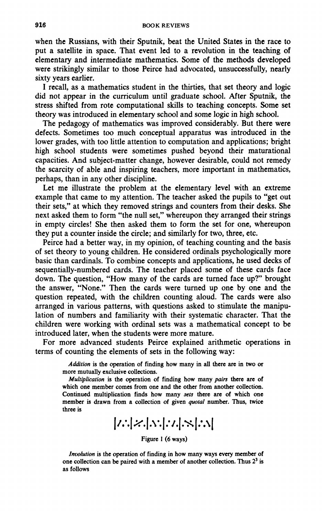**when the Russians, with their Sputnik, beat the United States in the race to put a satellite in space. That event led to a revolution in the teaching of elementary and intermediate mathematics. Some of the methods developed were strikingly similar to those Peirce had advocated, unsuccessfully, nearly sixty years earlier.** 

**I recall, as a mathematics student in the thirties, that set theory and logic did not appear in the curriculum until graduate school. After Sputnik, the stress shifted from rote computational skills to teaching concepts. Some set theory was introduced in elementary school and some logic in high school.** 

**The pedagogy of mathematics was improved considerably. But there were defects. Sometimes too much conceptual apparatus was introduced in the lower grades, with too little attention to computation and applications; bright high school students were sometimes pushed beyond their maturational capacities. And subject-matter change, however desirable, could not remedy the scarcity of able and inspiring teachers, more important in mathematics, perhaps, than in any other discipline.** 

**Let me illustrate the problem at the elementary level with an extreme example that came to my attention. The teacher asked the pupils to "get out their sets," at which they removed strings and counters from their desks. She next asked them to form "the null set," whereupon they arranged their strings in empty circles! She then asked them to form the set for one, whereupon they put a counter inside the circle; and similarly for two, three, etc.** 

**Peirce had a better way, in my opinion, of teaching counting and the basis of set theory to young children. He considered ordinals psychologically more basic than cardinals. To combine concepts and applications, he used decks of sequentially-numbered cards. The teacher placed some of these cards face down. The question, "How many of the cards are turned face up?" brought the answer, "None." Then the cards were turned up one by one and the question repeated, with the children counting aloud. The cards were also arranged in various patterns, with questions asked to stimulate the manipulation of numbers and familiarity with their systematic character. That the children were working with ordinal sets was a mathematical concept to be introduced later, when the students were more mature.** 

**For more advanced students Peirce explained arithmetic operations in terms of counting the elements of sets in the following way:** 

> *Addition* **is the operation of finding how many in all there are in two or more mutually exclusive collections.**

> *Multiplication* **is the operation of finding how many** *pairs* **there are of which one member comes from one and the other from another collection. Continued multiplication finds how many** *sets* **there are of which one member is drawn from a collection of given** *quotal* **number. Thus, twice three is**

**|/.\|.fc\|.V.|.V.|.\*\*%|.\\|** 

**Figure 1 (6 ways)** 

*Involution* **is the operation of finding in how many ways every member of one collection can be paired with a member of another collection. Thus 2<sup>3</sup> is as follows**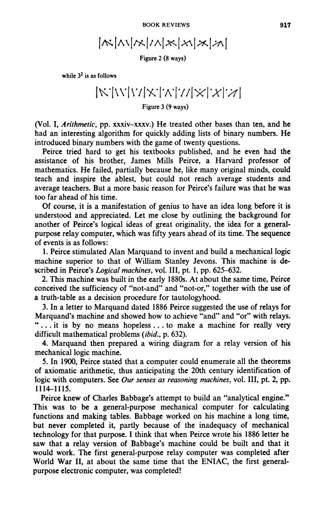$$
|\kappa|\mathbf{1}|\mathbf{1}|\mathbf{1}|\mathbf{1}|\mathbf{1}|\mathbf{1}|\mathbf{1}|\mathbf{1}|\mathbf{1}|\mathbf{1}|\mathbf{1}|\mathbf{1}|\mathbf{1}|\mathbf{1}|\mathbf{1}|\mathbf{1}|\mathbf{1}|\mathbf{1}|\mathbf{1}|\mathbf{1}|\mathbf{1}|\mathbf{1}|\mathbf{1}|\mathbf{1}|\mathbf{1}|\mathbf{1}|\mathbf{1}|\mathbf{1}|\mathbf{1}|\mathbf{1}|\mathbf{1}|\mathbf{1}|\mathbf{1}|\mathbf{1}|\mathbf{1}|\mathbf{1}|\mathbf{1}|\mathbf{1}|\mathbf{1}|\mathbf{1}|\mathbf{1}|\mathbf{1}|\mathbf{1}|\mathbf{1}|\mathbf{1}|\mathbf{1}|\mathbf{1}|\mathbf{1}|\mathbf{1}|\mathbf{1}|\mathbf{1}|\mathbf{1}|\mathbf{1}|\mathbf{1}|\mathbf{1}|\mathbf{1}|\mathbf{1}|\mathbf{1}|\mathbf{1}|\mathbf{1}|\mathbf{1}|\mathbf{1}|\mathbf{1}|\mathbf{1}|\mathbf{1}|\mathbf{1}|\mathbf{1}|\mathbf{1}|\mathbf{1}|\mathbf{1}|\mathbf{1}|\mathbf{1}|\mathbf{1}|\mathbf{1}|\mathbf{1}|\mathbf{1}|\mathbf{1}|\mathbf{1}|\mathbf{1}|\mathbf{1}|\mathbf{1}|\mathbf{1}|\mathbf{1}|\mathbf{1}|\mathbf{1}|\mathbf{1}|\mathbf{1}|\mathbf{1}|\mathbf{1}|\mathbf{1}|\mathbf{1}|\mathbf{1}|\mathbf{1}|\mathbf{1}|\mathbf{1}|\mathbf{1}|\mathbf{1}|\mathbf{1}|\mathbf{1}|\mathbf{1}|\mathbf{1}|\mathbf{1}|\mathbf{1}|\mathbf{1}|\mathbf{1}|\mathbf{1}|\mathbf{1}|\mathbf{1}|\mathbf{1}|\mathbf{1}|\mathbf{1}|\mathbf{1}|\mathbf{1}|\mathbf{1}|\mathbf{1}|\mathbf{1}|\mathbf{1}|\mathbf{1}|\mathbf{1}|\mathbf{1}|\mathbf{1}|\mathbf{1}|\mathbf{1}|\mathbf{1}|\mathbf{1}|\mathbf{1}
$$

**Figure 2 (8 ways)** 

**while 3<sup>2</sup> is as follows** 

## **|\*v|w|\v|y;|7V|y/|\*TAT;/| Figure 3 (9 ways)**

**(Vol. I,** *Arithmetic,* **pp. xxxiv-xxxv.) He treated other bases than ten, and he had an interesting algorithm for quickly adding lists of binary numbers. He introduced binary numbers with the game of twenty questions.** 

**Peirce tried hard to get his textbooks published, and he even had the assistance of his brother, James Mills Peirce, a Harvard professor of mathematics. He failed, partially because he, like many original minds, could teach and inspire the ablest, but could not reach average students and average teachers. But a more basic reason for Peirce's failure was that he was too far ahead of his time.** 

**Of course, it is a manifestation of genius to have an idea long before it is understood and appreciated. Let me close by outlining the background for another of Peirce's logical ideas of great originality, the idea for a generalpurpose relay computer, which was fifty years ahead of its time. The sequence of events is as follows:** 

**1. Peirce stimulated Alan Marquand to invent and build a mechanical logic machine superior to that of William Stanley Jevons. This machine is described in Peirce's** *Logical machines,* **vol. Ill, pt. 1, pp. 625-632.** 

**2. This machine was built in the early 1880s. At about the same time, Peirce conceived the sufficiency of "not-and" and "not-or," together with the use of a truth-table as a decision procedure for tautologyhood.** 

**3. In a letter to Marquand dated 1886 Peirce suggested the use of relays for Marquand's machine and showed how to achieve "and" and "or" with relays. ".. . it is by no means hopeless .. . to make a machine for really very difficult mathematical problems** *(ibid.,* **p. 632).** 

**4. Marquand then prepared a wiring diagram for a relay version of his mechanical logic machine.** 

**5. In 1900, Peirce stated that a computer could enumerate all the theorems of axiomatic arithmetic, thus anticipating the 20th century identification of logic with computers. See** *Our senses as reasoning machines,* **vol. Ill, pt. 2, pp. 1114—1115.** 

**Peirce knew of Charles Babbage's attempt to build an "analytical engine." This was to be a general-purpose mechanical computer for calculating functions and making tables. Babbage worked on his machine a long time, but never completed it, partly because of the inadequacy of mechanical technology for that purpose. I think that when Peirce wrote his 1886 letter he saw that a relay version of Babbage's machine could be built and that it would work. The first general-purpose relay computer was completed after World War II, at about the same time that the ENIAC, the first generalpurpose electronic computer, was completed!**